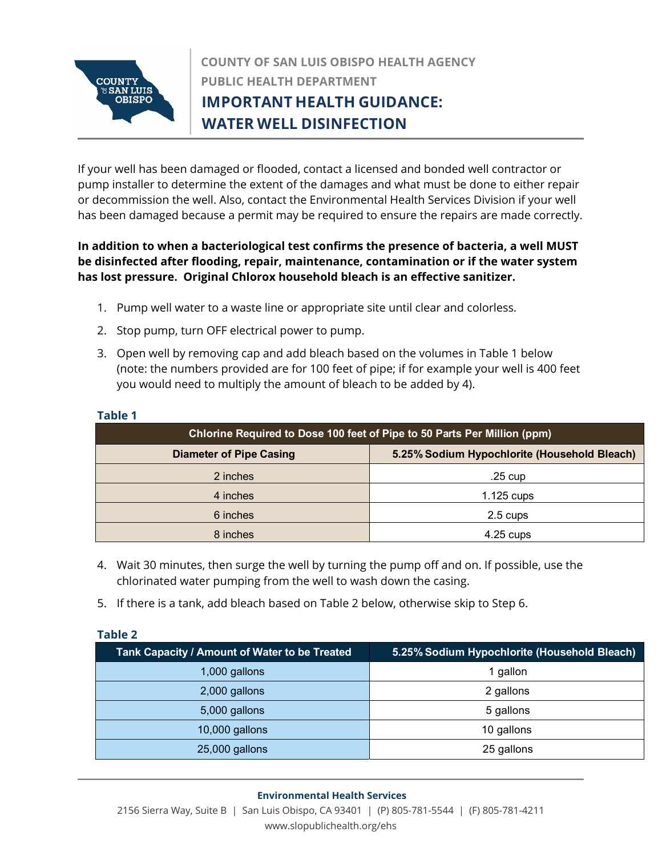

# **COUNTY OF SAN LUIS OBISPO HEALTH AGENCY PUBLIC HEALTH DEPARTMENT IMPORTANT HEALTH GUIDANCE: Penny Borenstein, MD, MPH** *Health Officer/Public Health Director* **WATER WELL DISINFECTION**

If your well has been damaged or flooded, contact a licensed and bonded well contractor or pump installer to determine the extent of the damages and what must be done to either repair or decommission the well. Also, contact the Environmental Health Services Division if your well has been damaged because a permit may be required to ensure the repairs are made correctly.

## **In addition to when a bacteriological test confirms the presence of bacteria, a well MUST be disinfected after flooding, repair, maintenance, contamination or if the water system has lost pressure. Original Chlorox household bleach is an effective sanitizer.**

- 1. Pump well water to a waste line or appropriate site until clear and colorless.
- 2. Stop pump, turn OFF electrical power to pump.
- 3. Open well by removing cap and add bleach based on the volumes in Table 1 below (note: the numbers provided are for 100 feet of pipe; if for example your well is 400 feet you would need to multiply the amount of bleach to be added by 4).

| Chlorine Required to Dose 100 feet of Pipe to 50 Parts Per Million (ppm) |                                              |  |
|--------------------------------------------------------------------------|----------------------------------------------|--|
| <b>Diameter of Pipe Casing</b>                                           | 5.25% Sodium Hypochlorite (Household Bleach) |  |
| 2 inches                                                                 | $.25 \text{ cup}$                            |  |
| 4 inches                                                                 | $1.125$ cups                                 |  |
| 6 inches                                                                 | 2.5 cups                                     |  |
| 8 inches                                                                 | $4.25$ cups                                  |  |

#### **Table 1**

- 4. Wait 30 minutes, then surge the well by turning the pump off and on. If possible, use the chlorinated water pumping from the well to wash down the casing.
- 5. If there is a tank, add bleach based on Table 2 below, otherwise skip to Step 6.

| rabie z                                       |                                              |  |
|-----------------------------------------------|----------------------------------------------|--|
| Tank Capacity / Amount of Water to be Treated | 5.25% Sodium Hypochlorite (Household Bleach) |  |
| 1,000 gallons                                 | 1 gallon                                     |  |
| 2,000 gallons                                 | 2 gallons                                    |  |
| 5,000 gallons                                 | 5 gallons                                    |  |
| 10,000 gallons                                | 10 gallons                                   |  |
| 25,000 gallons                                | 25 gallons                                   |  |

### **Table 2**

#### **Environmental Health Services**